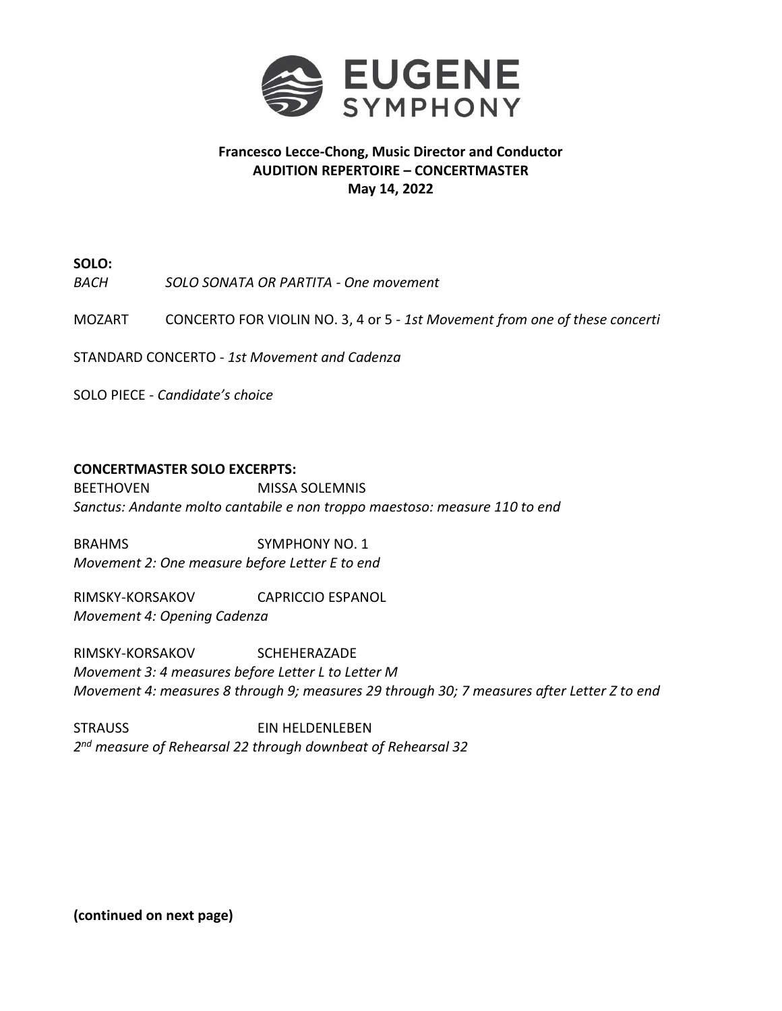

## **Francesco Lecce-Chong, Music Director and Conductor AUDITION REPERTOIRE – CONCERTMASTER May 14, 2022**

**SOLO:**

*BACH SOLO SONATA OR PARTITA - One movement*

MOZART CONCERTO FOR VIOLIN NO. 3, 4 or 5 - *1st Movement from one of these concerti*

STANDARD CONCERTO - *1st Movement and Cadenza*

SOLO PIECE - *Candidate's choice*

## **CONCERTMASTER SOLO EXCERPTS:**

BEETHOVEN MISSA SOLEMNIS *Sanctus: Andante molto cantabile e non troppo maestoso: measure 110 to end*

BRAHMS SYMPHONY NO. 1 *Movement 2: One measure before Letter E to end*

RIMSKY-KORSAKOV CAPRICCIO ESPANOL *Movement 4: Opening Cadenza*

RIMSKY-KORSAKOV SCHEHERAZADE *Movement 3: 4 measures before Letter L to Letter M Movement 4: measures 8 through 9; measures 29 through 30; 7 measures after Letter Z to end*

STRAUSS EIN HELDENLEBEN *2 nd measure of Rehearsal 22 through downbeat of Rehearsal 32*

**(continued on next page)**